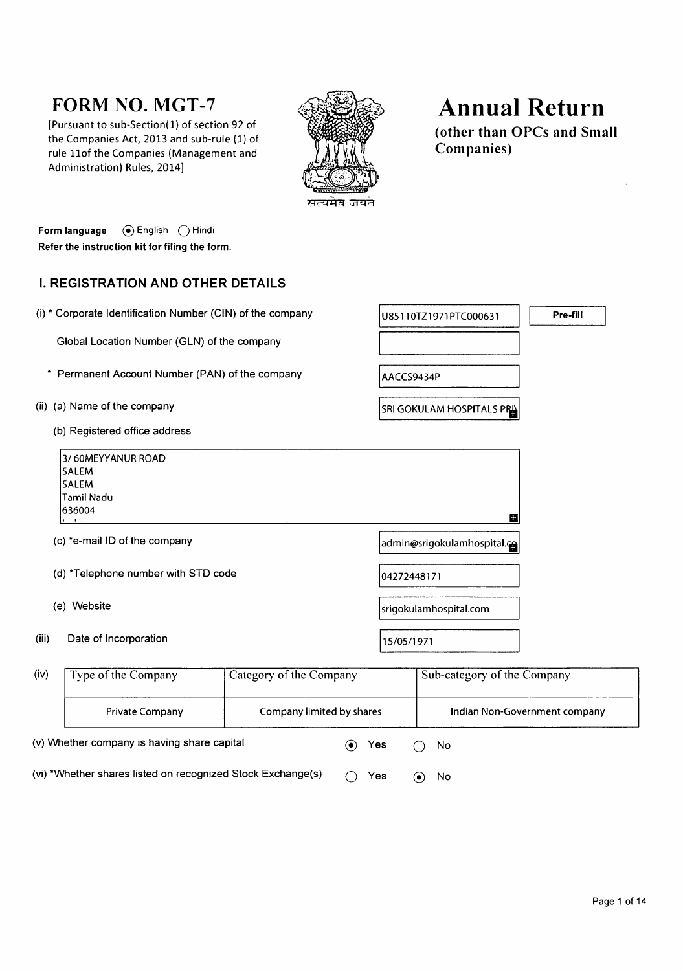# **FORM NO. MGT-7**

[Pursuant to sub-Section(1) of section 92 of the Companies Act, 2013 and sub-rule (1) of rule 11of the Companies (Management and Administration) Rules, 2014]



# **Annual Return**

(other than OPCs and Small **Companies**)

Form language (a) English ( ) Hindi Refer the instruction kit for filing the form.

#### **I. REGISTRATION AND OTHER DETAILS**

|       | (i) * Corporate Identification Number (CIN) of the company                                  |                           |             | U85110TZ1971PTC000631             | Pre-fill                      |
|-------|---------------------------------------------------------------------------------------------|---------------------------|-------------|-----------------------------------|-------------------------------|
|       | Global Location Number (GLN) of the company                                                 |                           |             |                                   |                               |
|       | Permanent Account Number (PAN) of the company                                               |                           | AACCS9434P  |                                   |                               |
|       | (ii) (a) Name of the company                                                                |                           |             | <b>SRI GOKULAM HOSPITALS PRIL</b> |                               |
|       | (b) Registered office address                                                               |                           |             |                                   |                               |
|       | 3/60MEYYANUR ROAD<br><b>SALEM</b><br><b>SALEM</b><br><b>Tamil Nadu</b><br>636004<br>$\cdot$ |                           |             | Е                                 |                               |
|       | (c) *e-mail ID of the company                                                               |                           |             | admin@srigokulamhospital.co       |                               |
|       | (d) *Telephone number with STD code                                                         |                           | 04272448171 |                                   |                               |
|       | (e) Website                                                                                 |                           |             | srigokulamhospital.com            |                               |
| (iii) | Date of Incorporation                                                                       |                           | 15/05/1971  |                                   |                               |
| (iv)  | Type of the Company                                                                         | Category of the Company   |             | Sub-category of the Company       |                               |
|       | Private Company                                                                             | Company limited by shares |             |                                   | Indian Non-Government company |
|       | (v) Whether company is having share capital                                                 | $\boldsymbol{\odot}$      | Yes         | No                                |                               |

 $\odot$  No

(vi) \*Whether shares listed on recognized Stock Exchange(s) Yes  $\bigcap$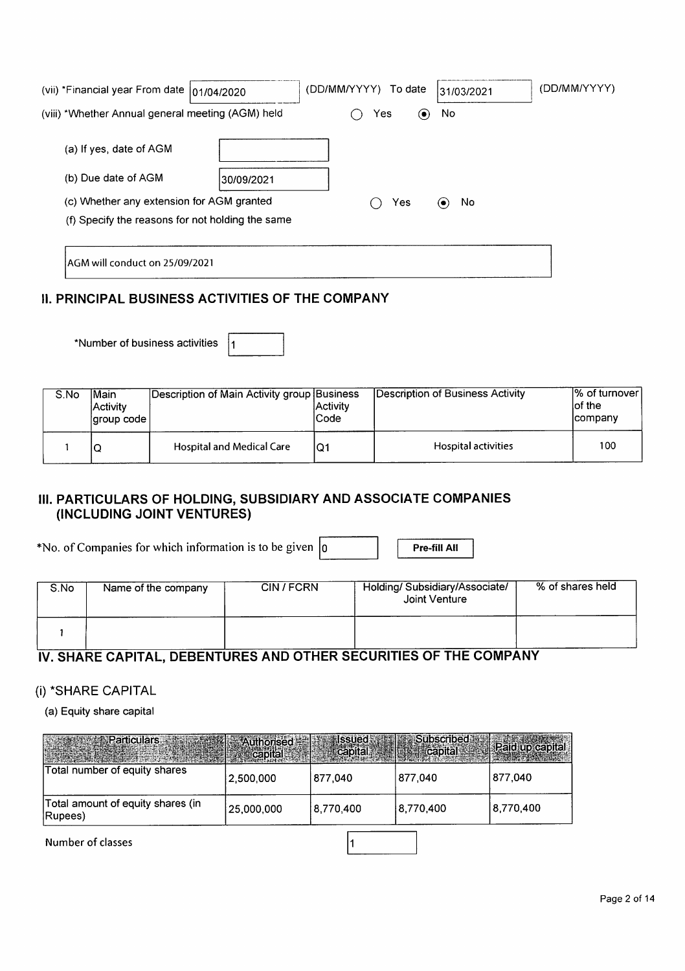| (vii) *Financial year From date   01/04/2020      |            | (DD/MM/YYYY)<br>To date | 31/03/2021 | (DD/MM/YYYY) |
|---------------------------------------------------|------------|-------------------------|------------|--------------|
| (viii) *Whether Annual general meeting (AGM) held |            | Yes<br>$(\bullet)$      | No         |              |
| (a) If yes, date of AGM                           |            |                         |            |              |
| (b) Due date of AGM                               | 30/09/2021 |                         |            |              |
| (c) Whether any extension for AGM granted         |            | Yes                     | No<br>(    |              |
| (f) Specify the reasons for not holding the same  |            |                         |            |              |
|                                                   |            |                         |            |              |
| AGM will conduct on 25/09/2021                    |            |                         |            |              |

#### **II. PRINCIPAL BUSINESS ACTIVITIES OF THE COMPANY**

\*Number of business activities 11

| S.No | lMain<br>lActivitv | Description of Main Activity group Business | <b>Activity</b><br>Code | Description of Business Activity | 1% of turnover l<br>lof the<br><b>Icompany</b> |
|------|--------------------|---------------------------------------------|-------------------------|----------------------------------|------------------------------------------------|
|      | ◡                  | <b>Hospital and Medical Care</b>            | IQ1                     | Hospital activities              | 100                                            |

## III. PARTICULARS OF HOLDING, SUBSIDIARY AND ASSOCIATE COMPANIES (INCLUDING JOINT VENTURES)

\*No. of Companies for which information is to be given  $\vert_0$ 

Pre-fill All

| S.No | Name of the company | CIN/FCRN | Holding/Subsidiary/Associate/<br>Joint Venture | % of shares held |
|------|---------------------|----------|------------------------------------------------|------------------|
|      |                     |          |                                                |                  |

# IV. SHARE CAPITAL, DEBENTURES AND OTHER SECURITIES OF THE COMPANY

# (i) \*SHARE CAPITAL

(a) Equity share capital

| Authorised   Issued   Issued   Subscribed    |            |           | <b>The Edit Capital State Capital State Capital State</b> |           |
|----------------------------------------------|------------|-----------|-----------------------------------------------------------|-----------|
| Total number of equity shares                | 2,500,000  | 877.040   | 877.040                                                   | 877,040   |
| Total amount of equity shares (in<br>Rupees) | 25,000,000 | 8.770.400 | 8,770,400                                                 | 8,770,400 |

 $\mathbf{1}$ 

Number of classes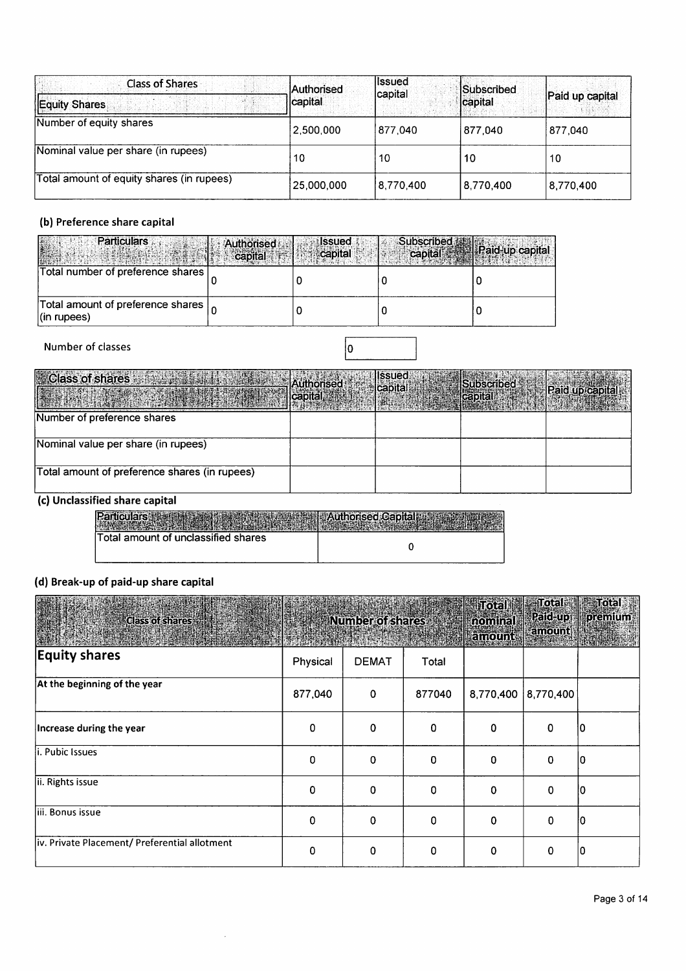| <b>Class of Shares</b>                    | <b>Authorised</b> | llssued   | Subscribed |                 |
|-------------------------------------------|-------------------|-----------|------------|-----------------|
| Equity Shares                             | <b>Icapital</b>   | capital   | capital    | Paid up capital |
| Number of equity shares                   | 2,500,000         | 877,040   | 877.040    | 877.040         |
| Nominal value per share (in rupees)       | 10                | 10        | 10         | 10              |
| Total amount of equity shares (in rupees) | 25,000,000        | 8,770,400 | 8,770,400  | 8,770,400       |

#### (b) Preference share capital

| <b>Particulars</b>                                     | Authorised<br>$\sim$ capital | assued.<br>capital | Subscribed <b>W</b> | capital Paid-up capital |
|--------------------------------------------------------|------------------------------|--------------------|---------------------|-------------------------|
| Total number of preference shares                      |                              |                    |                     |                         |
| Total amount of preference shares  <br>$ $ (in rupees) |                              |                    |                     |                         |

#### Number of classes

| Class of shares with the state of a Authorised | alcapital and produced and | <b>Issued</b><br>Capital | Subscribed Fears Raid up capital<br>$\text{Capital}$ |  |
|------------------------------------------------|----------------------------|--------------------------|------------------------------------------------------|--|
| Number of preference shares                    |                            |                          |                                                      |  |
| Nominal value per share (in rupees)            |                            |                          |                                                      |  |
| Total amount of preference shares (in rupees)  |                            |                          |                                                      |  |

#### (c) Unclassified share capital

| п                                   |  |
|-------------------------------------|--|
| Total amount of unclassified shares |  |

#### (d) Break-up of paid-up share capital

| <b>Class of shares:</b>                       |             | Number of shares: |        | Total<br>nominal<br><b>kamount</b> | amount.   | Total Total<br>Paid-up premium<br><b>The September</b><br>si kanada kusa |
|-----------------------------------------------|-------------|-------------------|--------|------------------------------------|-----------|--------------------------------------------------------------------------|
| <b>Equity shares</b>                          | Physical    | <b>DEMAT</b>      | Total  |                                    |           |                                                                          |
| At the beginning of the year                  | 877,040     | $\mathbf 0$       | 877040 | 8,770,400                          | 8,770,400 |                                                                          |
| Increase during the year                      | 0           | 0                 | 0      | 0                                  | 0         | 10                                                                       |
| li. Pubic Issues                              | 0           | 0                 | 0      | 0                                  | 0         | 10                                                                       |
| ii. Rights issue                              | $\mathbf 0$ | $\mathbf 0$       | 0      | 0                                  | 0         | 10                                                                       |
| liii. Bonus issue                             | 0           | 0                 | 0      | $\mathbf 0$                        | 0         | 10                                                                       |
| iv. Private Placement/ Preferential allotment | 0           | 0                 | 0      | 0                                  | 0         | 10                                                                       |

 $\hat{\boldsymbol{\beta}}$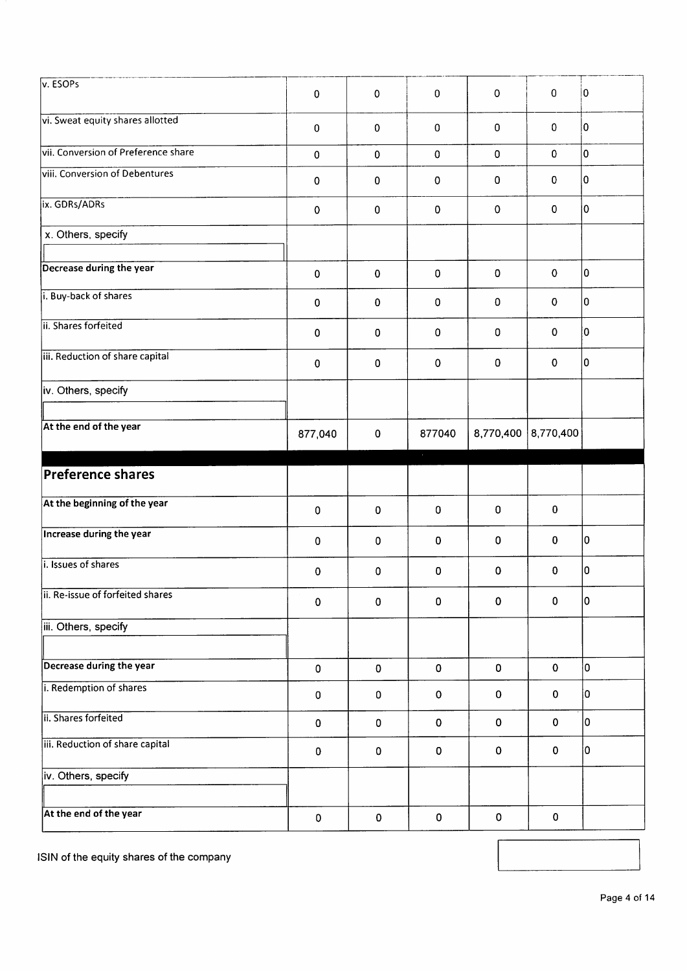| v. ESOPs                            | $\mathbf 0$ | $\mathbf 0$ | $\mathbf 0$ | $\mathsf{O}\xspace$ | $\pmb{0}$    | 10  |
|-------------------------------------|-------------|-------------|-------------|---------------------|--------------|-----|
| vi. Sweat equity shares allotted    | $\pmb{0}$   | $\pmb{0}$   | $\mathbf 0$ | $\mathbf 0$         | $\mathbf{0}$ | I٥  |
| vii. Conversion of Preference share | $\mathbf 0$ | $\pmb{0}$   | $\mathbf 0$ | $\mathbf 0$         | $\mathbf 0$  | ١o  |
| viii. Conversion of Debentures      | 0           | 0           | $\pmb{0}$   | 0                   | $\mathbf 0$  | 10  |
| ix. GDRs/ADRs                       | 0           | $\pmb{0}$   | $\pmb{0}$   | $\mathbf 0$         | 0            | I٥  |
| x. Others, specify                  |             |             |             |                     |              |     |
| Decrease during the year            | $\pmb{0}$   | $\mathbf 0$ | $\mathbf 0$ | $\mathbf 0$         | $\mathbf 0$  | I٥  |
| i. Buy-back of shares               | $\pmb{0}$   | 0           | $\mathbf 0$ | $\mathbf 0$         | $\mathbf 0$  | lo. |
| ii. Shares forfeited                | 0           | 0           | $\mathbf 0$ | 0                   | 0            | 0   |
| iii. Reduction of share capital     | $\pmb{0}$   | 0           | $\mathbf 0$ | $\mathbf 0$         | $\mathbf 0$  | I٥  |
| iv. Others, specify                 |             |             |             |                     |              |     |
| At the end of the year              | 877,040     | $\mathbf 0$ | 877040      | 8,770,400           | 8,770,400    |     |
|                                     |             |             |             |                     |              |     |
| <b>Preference shares</b>            |             |             | $\epsilon$  |                     |              |     |
| At the beginning of the year        | $\pmb{0}$   | $\mathbf 0$ | 0           | $\pmb{0}$           | 0            |     |
| <b>Increase during the year</b>     | $\pmb{0}$   | $\mathbf 0$ | 0           | $\mathbf 0$         | 0            | 10  |
| i. Issues of shares                 | 0           | 0           | 0           | $\mathbf 0$         | 0            | lo. |
| ii. Re-issue of forfeited shares    | $\pmb{0}$   | $\pmb{0}$   | 0           | $\mathbf 0$         | 0            | O   |
| iii. Others, specify                |             |             |             |                     |              |     |
| Decrease during the year            | $\pmb{0}$   | $\pmb{0}$   | $\mathbf 0$ | $\pmb{0}$           | $\pmb{0}$    | lo. |
| i. Redemption of shares             | $\pmb{0}$   | $\pmb{0}$   | 0           | $\pmb{0}$           | 0            | 10  |
| ii. Shares forfeited                | $\pmb{0}$   | $\pmb{0}$   | 0           | $\mathbf 0$         | $\mathbf 0$  | lo. |
| iii. Reduction of share capital     | $\pmb{0}$   | $\pmb{0}$   | 0           | $\pmb{0}$           | $\pmb{0}$    | lo. |
| iv. Others, specify                 |             |             |             |                     |              |     |

ISIN of the equity shares of the company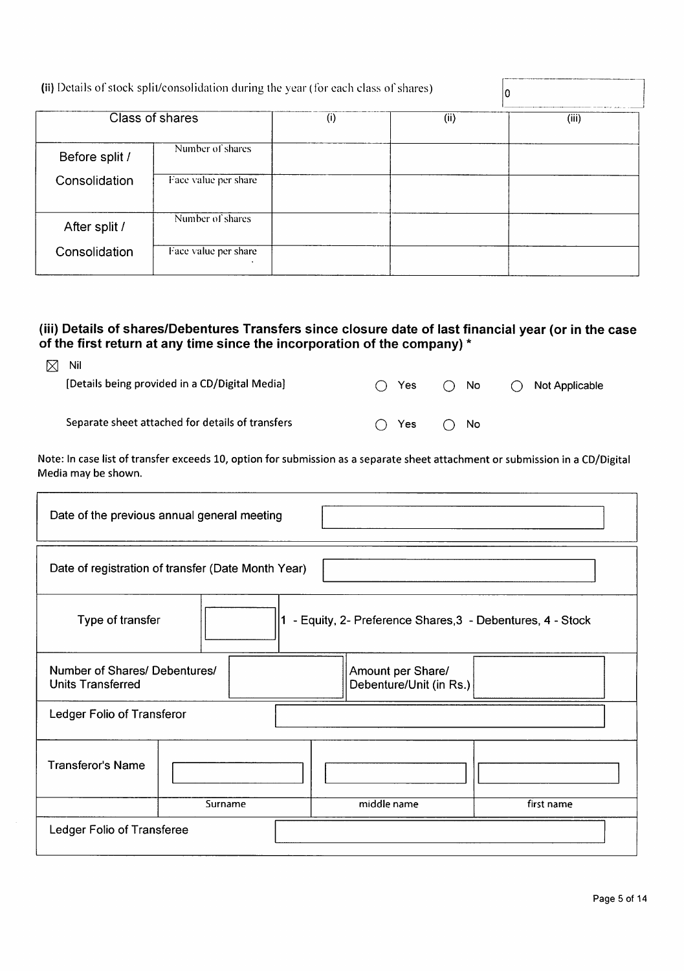|                | (ii) Details of stock split/consolidation during the year (for each class of shares) |     |     | 10    |
|----------------|--------------------------------------------------------------------------------------|-----|-----|-------|
|                | Class of shares                                                                      | (i) | (i) | (iii) |
| Before split / | Number of shares                                                                     |     |     |       |
| Consolidation  | Face value per share                                                                 |     |     |       |
| After split /  | Number of shares                                                                     |     |     |       |
| Consolidation  | Face value per share                                                                 |     |     |       |

# (iii) Details of shares/Debentures Transfers since closure date of last financial year (or in the case of the first return at any time since the incorporation of the company) \*

| ⊠ | Nil                                              |               |                  |                          |
|---|--------------------------------------------------|---------------|------------------|--------------------------|
|   | [Details being provided in a CD/Digital Media]   | $\bigcap$ Yes | $\bigcap$ No     | $\bigcap$ Not Applicable |
|   |                                                  |               |                  |                          |
|   | Separate sheet attached for details of transfers |               | Yes $\bigcap$ No |                          |

Note: In case list of transfer exceeds 10, option for submission as a separate sheet attachment or submission in a CD/Digital Media may be shown.

| Date of the previous annual general meeting                                          |         |                                              |            |  |
|--------------------------------------------------------------------------------------|---------|----------------------------------------------|------------|--|
| Date of registration of transfer (Date Month Year)                                   |         |                                              |            |  |
| - Equity, 2- Preference Shares, 3 - Debentures, 4 - Stock<br>Type of transfer<br>l1. |         |                                              |            |  |
| Number of Shares/ Debentures/<br><b>Units Transferred</b>                            |         | Amount per Share/<br>Debenture/Unit (in Rs.) |            |  |
| Ledger Folio of Transferor                                                           |         |                                              |            |  |
| <b>Transferor's Name</b>                                                             |         |                                              |            |  |
|                                                                                      | Surname | middle name                                  | first name |  |
| Ledger Folio of Transferee                                                           |         |                                              |            |  |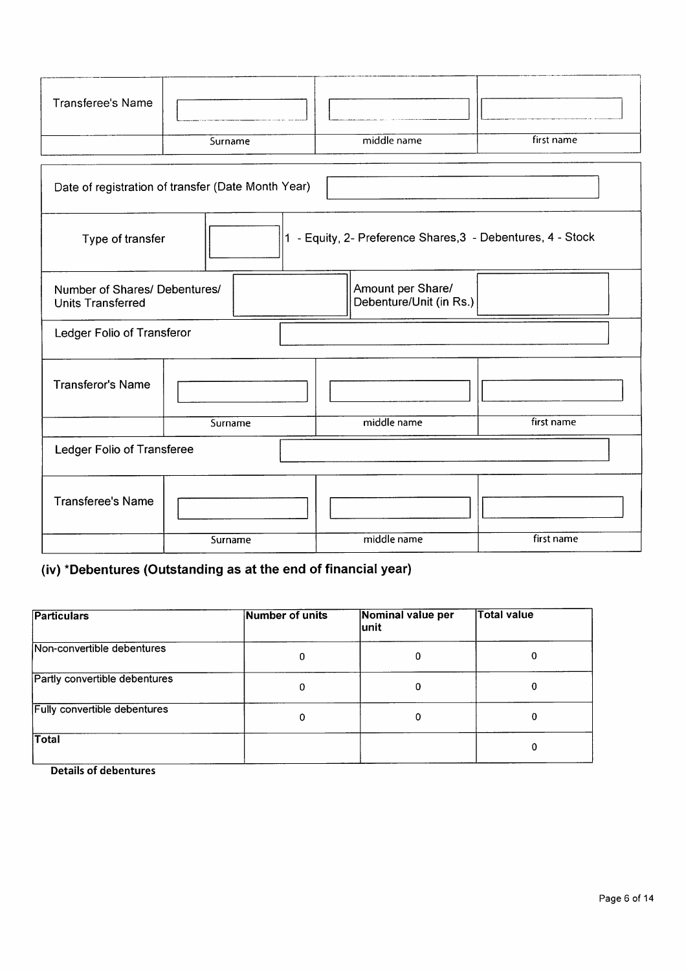| <b>Transferee's Name</b>                                                                                  |                                                    |             |            |  |  |  |
|-----------------------------------------------------------------------------------------------------------|----------------------------------------------------|-------------|------------|--|--|--|
|                                                                                                           | Surname                                            | middle name | first name |  |  |  |
|                                                                                                           | Date of registration of transfer (Date Month Year) |             |            |  |  |  |
| 1 - Equity, 2- Preference Shares, 3 - Debentures, 4 - Stock<br>Type of transfer                           |                                                    |             |            |  |  |  |
| Amount per Share/<br>Number of Shares/ Debentures/<br>Debenture/Unit (in Rs.)<br><b>Units Transferred</b> |                                                    |             |            |  |  |  |
| Ledger Folio of Transferor                                                                                |                                                    |             |            |  |  |  |
| <b>Transferor's Name</b>                                                                                  |                                                    |             |            |  |  |  |
|                                                                                                           | Surname                                            | middle name | first name |  |  |  |
| Ledger Folio of Transferee                                                                                |                                                    |             |            |  |  |  |
| <b>Transferee's Name</b>                                                                                  |                                                    |             |            |  |  |  |
|                                                                                                           | Surname                                            | middle name | first name |  |  |  |

# (iv) \*Debentures (Outstanding as at the end of financial year)

| <b>Particulars</b>                  | Number of units | Nominal value per<br>lunit | <b>Total value</b> |
|-------------------------------------|-----------------|----------------------------|--------------------|
| Non-convertible debentures          | 0               | 0                          | 0                  |
| Partly convertible debentures       | 0               | 0                          | 0                  |
| <b>Fully convertible debentures</b> | 0               | 0                          | 0                  |
| Total                               |                 |                            | Ω                  |

**Details of debentures**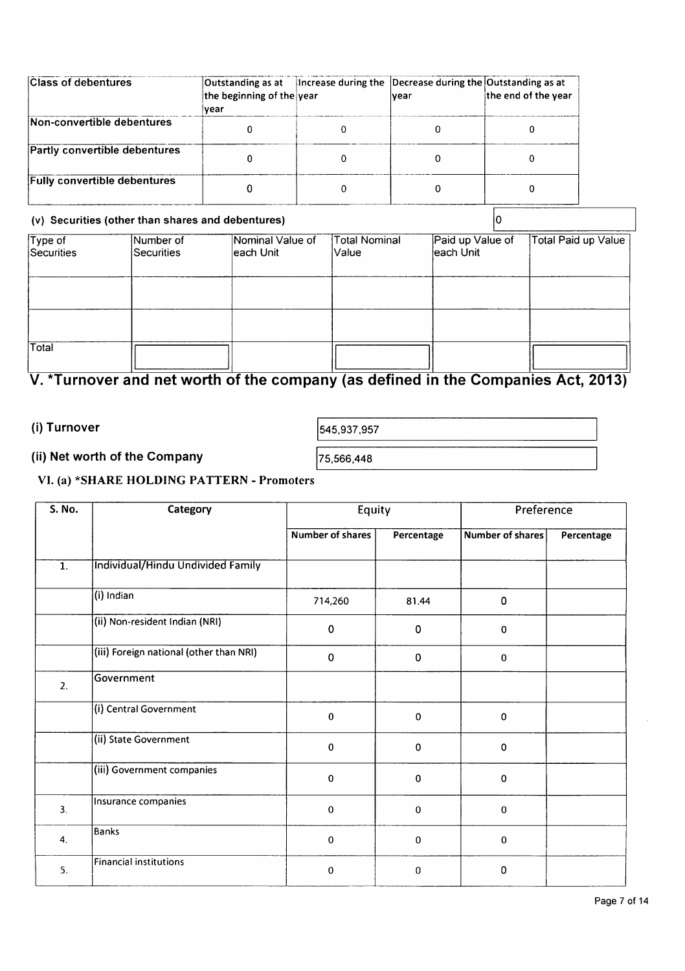| <b>Class of debentures</b>          | the beginning of the year<br>lvear | Outstanding as at  Increase during the  Decrease during the Outstanding as at<br>Ivear | the end of the year |
|-------------------------------------|------------------------------------|----------------------------------------------------------------------------------------|---------------------|
| Non-convertible debentures          |                                    |                                                                                        |                     |
| Partly convertible debentures       |                                    |                                                                                        |                     |
| <b>Fully convertible debentures</b> |                                    |                                                                                        |                     |

#### (v) Securities (other than shares and debentures)

| (v) Securities (other than shares and debentures) |                                |                                |                         |                               |                     |
|---------------------------------------------------|--------------------------------|--------------------------------|-------------------------|-------------------------------|---------------------|
| $\overline{T}$ ype of<br>Securities               | Number of<br><b>Securities</b> | Nominal Value of<br>leach Unit | Total Nominal<br> Value | Paid up Value of<br>each Unit | Total Paid up Value |
|                                                   |                                |                                |                         |                               |                     |
|                                                   |                                |                                |                         |                               |                     |
| Total                                             |                                |                                |                         |                               |                     |

# V. \*Turnover and net worth of the company (as defined in the Companies Act, 2013)

(i) Turnover

545,937,957

#### (ii) Net worth of the Company

75,566,448

#### VI. (a) \*SHARE HOLDING PATTERN - Promoters

| S. No.           | Category                                | Equity           |             | Preference       |            |
|------------------|-----------------------------------------|------------------|-------------|------------------|------------|
|                  |                                         | Number of shares | Percentage  | Number of shares | Percentage |
| $\overline{1}$ . | Individual/Hindu Undivided Family       |                  |             |                  |            |
|                  | (i) Indian                              | 714,260          | 81.44       | 0                |            |
|                  | (ii) Non-resident Indian (NRI)          | $\pmb{0}$        | $\mathbf 0$ | $\bf{0}$         |            |
|                  | (iii) Foreign national (other than NRI) | $\mathbf 0$      | $\mathbf 0$ | $\mathbf 0$      |            |
| 2.               | Government                              |                  |             |                  |            |
|                  | (i) Central Government                  | $\bf{0}$         | $\mathbf 0$ | $\mathbf 0$      |            |
|                  | (ii) State Government                   | $\mathbf 0$      | $\mathbf 0$ | 0                |            |
|                  | (iii) Government companies              | $\mathbf 0$      | $\pmb{0}$   | 0                |            |
| 3.               | Insurance companies                     | $\mathbf 0$      | $\mathbf 0$ | $\mathbf 0$      |            |
| 4.               | Banks                                   | $\mathbf 0$      | $\bf{0}$    | $\mathbf 0$      |            |
| 5.               | Financial institutions                  | $\mathbf 0$      | $\bf{0}$    | 0                |            |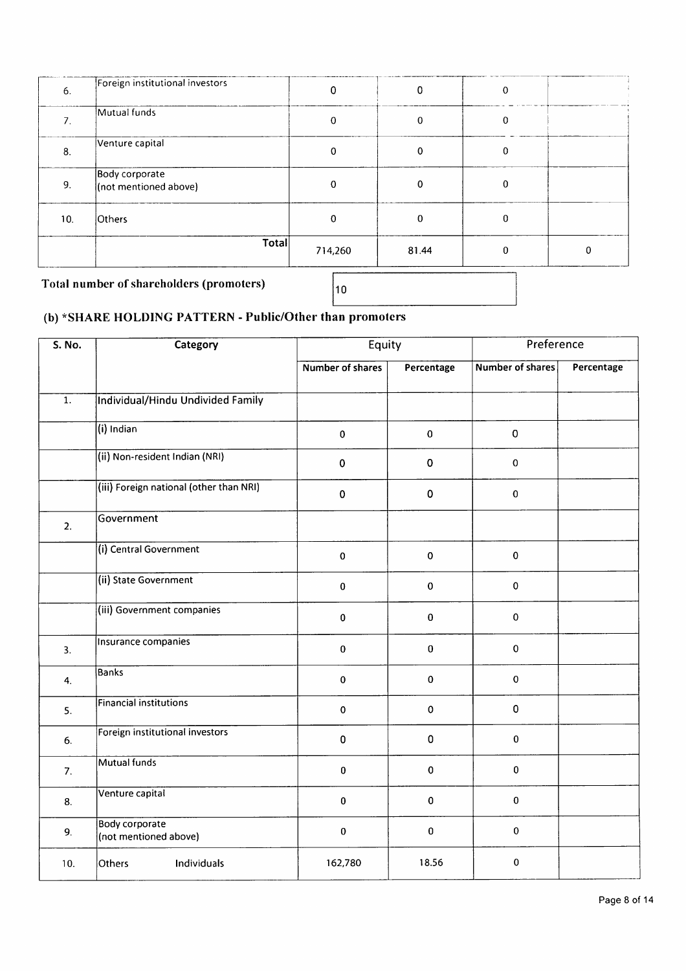| 6.  | Foreign institutional investors         | 0        | 0           | 0 |  |  |
|-----|-----------------------------------------|----------|-------------|---|--|--|
|     | Mutual funds                            | $\Omega$ | $\mathbf 0$ | 0 |  |  |
| 8.  | Venture capital                         | 0        | $\mathbf 0$ | 0 |  |  |
| 9.  | Body corporate<br>(not mentioned above) | 0        | 0           | 0 |  |  |
| 10. | Others                                  | n        | 0           | O |  |  |
|     | Total                                   | 714,260  | 81.44       |   |  |  |
|     |                                         |          |             |   |  |  |

Total number of shareholders (promoters)

 $|_{10}$ 

## (b) \*SHARE HOLDING PATTERN - Public/Other than promoters

| <b>S. No.</b>    | Category                                       | Equity                  |            | Preference              |            |
|------------------|------------------------------------------------|-------------------------|------------|-------------------------|------------|
|                  |                                                | <b>Number of shares</b> | Percentage | <b>Number of shares</b> | Percentage |
| $\overline{1}$ . | Individual/Hindu Undivided Family              |                         |            |                         |            |
|                  | (i) Indian                                     | $\pmb{0}$               | $\pmb{0}$  | $\pmb{0}$               |            |
|                  | (ii) Non-resident Indian (NRI)                 | $\pmb{0}$               | $\bf{0}$   | $\mathbf 0$             |            |
|                  | (iii) Foreign national (other than NRI)        | $\pmb{0}$               | $\pmb{0}$  | $\bf{0}$                |            |
| 2.               | Government                                     |                         |            |                         |            |
|                  | (i) Central Government                         | $\pmb{0}$               | $\pmb{0}$  | $\pmb{0}$               |            |
|                  | (ii) State Government                          | $\pmb{0}$               | $\pmb{0}$  | $\mathbf 0$             |            |
|                  | (iii) Government companies                     | $\pmb{0}$               | 0          | $\pmb{0}$               |            |
| 3.               | Insurance companies                            | $\mathbf 0$             | $\bf{0}$   | $\pmb{0}$               |            |
| 4.               | Banks                                          | $\pmb{0}$               | 0          | $\pmb{0}$               |            |
| 5.               | <b>Financial institutions</b>                  | $\pmb{0}$               | $\pmb{0}$  | $\pmb{0}$               |            |
| 6.               | Foreign institutional investors                | $\pmb{0}$               | 0          | $\pmb{0}$               |            |
| 7.               | Mutual funds                                   | $\pmb{0}$               | $\pmb{0}$  | $\pmb{0}$               |            |
| 8.               | Venture capital                                | $\pmb{0}$               | $\bf{0}$   | $\pmb{0}$               |            |
| 9.               | <b>Body corporate</b><br>(not mentioned above) | $\pmb{0}$               | $\pmb{0}$  | $\pmb{0}$               |            |
| 10.              | Others<br>Individuals                          | 162,780                 | 18.56      | 0                       |            |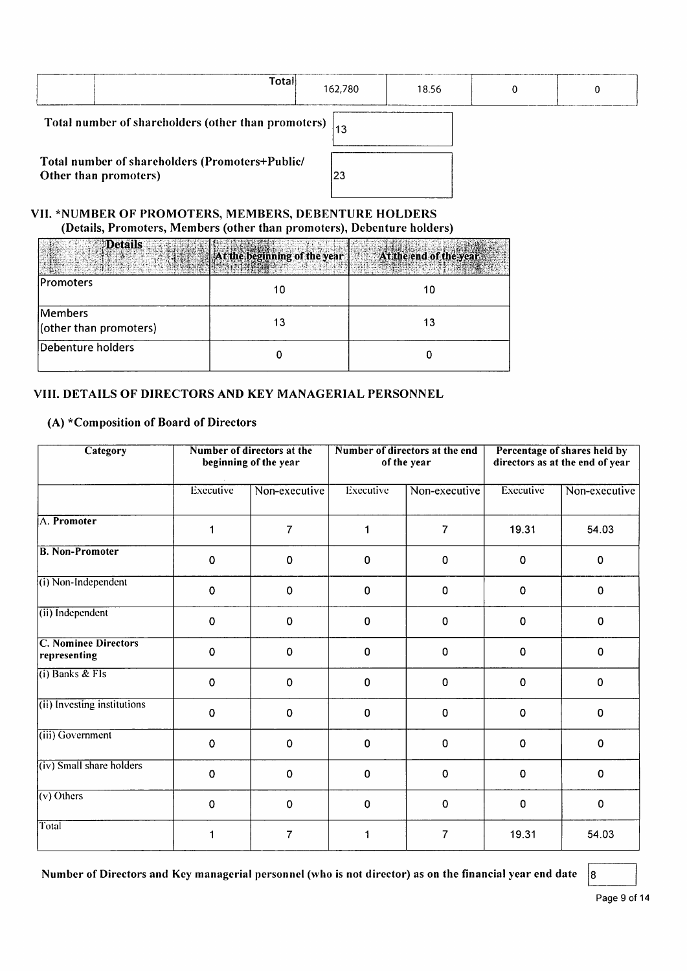|                                                                  | Total                                           | 162,780 | 18.56 |  |  |
|------------------------------------------------------------------|-------------------------------------------------|---------|-------|--|--|
| Total number of shareholders (other than promoters) $\vert_{13}$ |                                                 |         |       |  |  |
|                                                                  | Total number of shareholders (Promoters+Public/ |         |       |  |  |

Other than promoters)

# $|23|$

#### VII. \*NUMBER OF PROMOTERS, MEMBERS, DEBENTURE HOLDERS (Details, Promoters, Members (other than promoters), Debenture holders)

| <b>Details</b>                    | At the beginning of the year | At the end of the year |
|-----------------------------------|------------------------------|------------------------|
| Promoters                         | 10                           | 10                     |
| Members<br>(other than promoters) | 13                           | 13                     |
| Debenture holders                 |                              |                        |

#### VIII. DETAILS OF DIRECTORS AND KEY MANAGERIAL PERSONNEL

#### (A) \*Composition of Board of Directors

| Category                                    |             | Number of directors at the<br>beginning of the year |                  | Number of directors at the end<br>of the year |           | Percentage of shares held by<br>directors as at the end of year |
|---------------------------------------------|-------------|-----------------------------------------------------|------------------|-----------------------------------------------|-----------|-----------------------------------------------------------------|
|                                             | Executive   | Non-executive                                       | <b>Executive</b> | Non-executive                                 | Executive | Non-executive                                                   |
| A. Promoter                                 | 1           | $\overline{7}$                                      | 1                | $\overline{7}$                                | 19.31     | 54.03                                                           |
| <b>B. Non-Promoter</b>                      | $\mathbf 0$ | $\mathbf 0$                                         | 0                | $\bf{0}$                                      | 0         | $\mathbf 0$                                                     |
| (i) Non-Independent                         | $\mathbf 0$ | $\mathbf 0$                                         | 0                | 0                                             | 0         | $\mathbf{0}$                                                    |
| (ii) Independent                            | $\mathbf 0$ | $\mathbf 0$                                         | 0                | $\mathbf 0$                                   | 0         | $\Omega$                                                        |
| <b>C. Nominee Directors</b><br>representing | $\mathbf 0$ | $\mathbf 0$                                         | $\Omega$         | $\mathbf 0$                                   | 0         | $\mathbf{0}$                                                    |
| $(i)$ Banks & FIs                           | $\mathbf 0$ | $\mathbf 0$                                         | 0                | $\mathbf 0$                                   | 0         | $\Omega$                                                        |
| (ii) Investing institutions                 | $\mathbf 0$ | $\bf{0}$                                            | 0                | $\mathbf 0$                                   | 0         | $\mathbf 0$                                                     |
| (iii) Government                            | $\mathbf 0$ | $\mathbf 0$                                         | 0                | $\bf{0}$                                      | 0         | 0                                                               |
| (iv) Small share holders                    | $\mathbf 0$ | $\mathbf 0$                                         | 0                | $\mathbf 0$                                   | 0         | $\mathbf 0$                                                     |
| $(v)$ Others                                | $\mathbf 0$ | $\mathbf 0$                                         | 0                | $\Omega$                                      | 0         | 0                                                               |
| Total                                       | 1           | 7                                                   |                  | 7                                             | 19.31     | 54.03                                                           |

Number of Directors and Key managerial personnel (who is not director) as on the financial year end date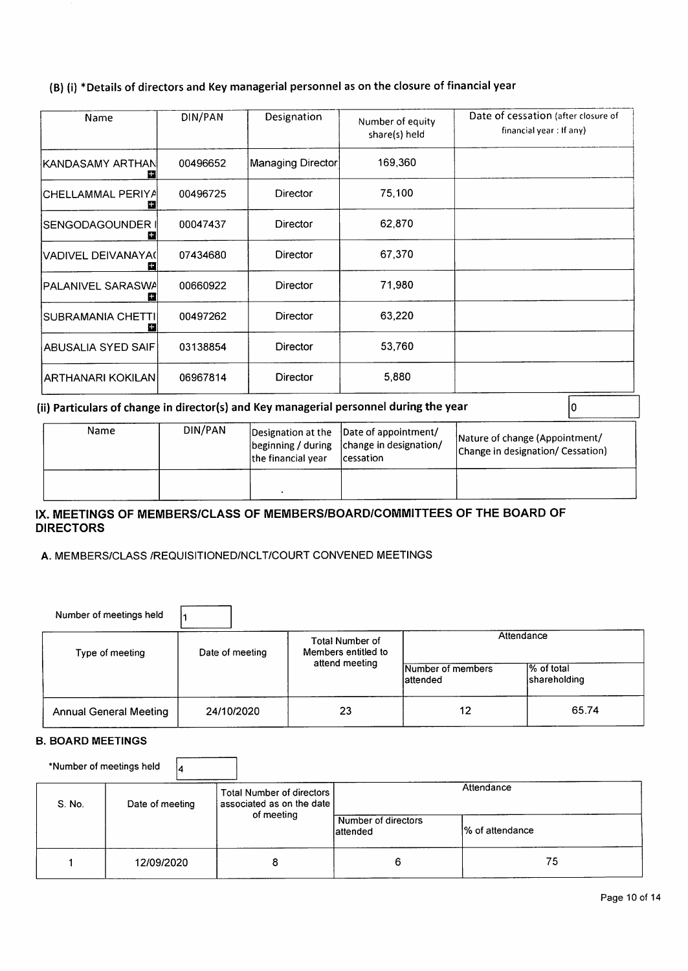## (B) (i) \*Details of directors and Key managerial personnel as on the closure of financial year

| Name                      | DIN/PAN  | Designation       | Number of equity<br>share(s) held | Date of cessation (after closure of<br>financial year: If any) |
|---------------------------|----------|-------------------|-----------------------------------|----------------------------------------------------------------|
| KANDASAMY ARTHAN <br>52   | 00496652 | Managing Director | 169,360                           |                                                                |
| ICHELLAMMAL PERIYA<br>m   | 00496725 | Director          | 75,100                            |                                                                |
| SENGODAGOUNDER ∣<br>Е     | 00047437 | Director          | 62,870                            |                                                                |
| lVADIVEL DEIVANAYA(l<br>Ш | 07434680 | Director          | 67,370                            |                                                                |
| İPALANIVEL SARASWA<br>Ŧ   | 00660922 | Director          | 71,980                            |                                                                |
| SUBRAMANIA CHETTI <br>Ы   | 00497262 | <b>Director</b>   | 63.220                            |                                                                |
| ABUSALIA SYED SAIFI       | 03138854 | Director          | 53,760                            |                                                                |
| ARTHANARI KOKILANI        | 06967814 | <b>Director</b>   | 5,880                             |                                                                |

#### (ii) Particulars of change in director(s) and Key managerial personnel during the year

| Name | DIN/PAN | the financial vear | Designation at the  Date of appointment/<br>beginning / during   change in designation/<br><i>cessation</i> | Nature of change (Appointment/<br>Change in designation/ Cessation) |
|------|---------|--------------------|-------------------------------------------------------------------------------------------------------------|---------------------------------------------------------------------|
|      |         |                    |                                                                                                             |                                                                     |

#### IX. MEETINGS OF MEMBERS/CLASS OF MEMBERS/BOARD/COMMITTEES OF THE BOARD OF **DIRECTORS**

#### A. MEMBERS/CLASS /REQUISITIONED/NCLT/COURT CONVENED MEETINGS

| Number of meetings held       |                 |                                               |                                |                             |  |
|-------------------------------|-----------------|-----------------------------------------------|--------------------------------|-----------------------------|--|
| Type of meeting               | Date of meeting | <b>Total Number of</b><br>Members entitled to | Attendance                     |                             |  |
|                               |                 | attend meeting                                | Number of members<br>lattended | 1% of total<br>shareholding |  |
| <b>Annual General Meeting</b> | 24/10/2020      | 23                                            | 12                             | 65.74                       |  |

#### **B. BOARD MEETINGS**

\*Number of meetings held  $\vert$ 4

| S. No. | Date of meeting | Total Number of directors<br>associated as on the date | Attendance                       |                  |  |
|--------|-----------------|--------------------------------------------------------|----------------------------------|------------------|--|
|        |                 | of meeting                                             | Number of directors<br>lattended | 1% of attendance |  |
|        | 12/09/2020      |                                                        | 6                                | 75               |  |

 $|0\rangle$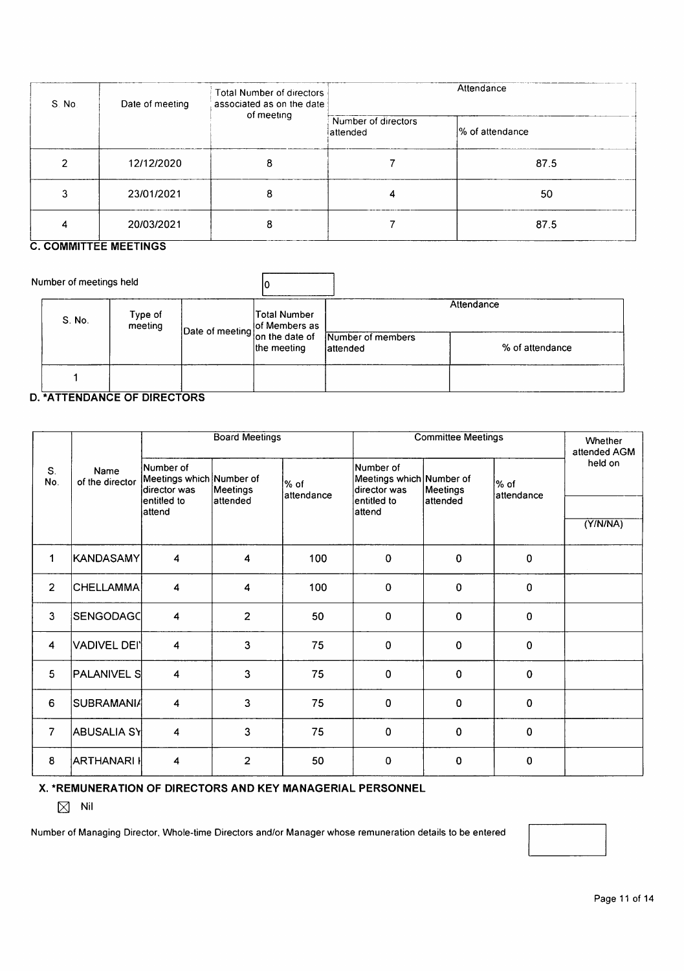| S. No. | Date of meeting               | Total Number of directors<br>associated as on the date | Attendance                       |                 |  |
|--------|-------------------------------|--------------------------------------------------------|----------------------------------|-----------------|--|
|        |                               | of meeting                                             | Number of directors<br>lattended | % of attendance |  |
|        | 12/12/2020                    | 8                                                      |                                  | 87.5            |  |
|        | 23/01/2021                    | 8                                                      |                                  | 50              |  |
| 4      | 20/03/2021<br>--------------- | я                                                      |                                  | 87.5            |  |

#### **C. COMMITTEE MEETINGS**

| Number of meetings held |                    |              |                                                    |                 |
|-------------------------|--------------------|--------------|----------------------------------------------------|-----------------|
| S. No.                  | Type of<br>meeting | Total Number | Date of meeting of Members as<br>Number of members | Attendance      |
|                         |                    | the meeting  | lattended                                          | % of attendance |
|                         |                    |              |                                                    |                 |

#### **D. \*ATTENDANCE OF DIRECTORS**

|                |                          | <b>Board Meetings</b>                                 |                |                    | <b>Committee Meetings</b>                             |             |                    | Whether<br>attended AGM |
|----------------|--------------------------|-------------------------------------------------------|----------------|--------------------|-------------------------------------------------------|-------------|--------------------|-------------------------|
| S.<br>No.      | Name<br>of the director  | Number of<br>Meetings which Number of<br>director was | Meetings       | % of<br>attendance | Number of<br>Meetings which Number of<br>director was | Meetings    | % of<br>attendance | held on                 |
|                |                          | lentitled to<br>attend                                | lattended      |                    | lentitled to<br>lattend                               | attended    |                    |                         |
|                |                          |                                                       |                |                    |                                                       |             |                    | (Y/N/NA)                |
| 1              | KANDASAMY                | 4                                                     | 4              | 100                | $\bf{0}$                                              | $\mathbf 0$ | $\pmb{0}$          |                         |
| $\overline{2}$ | <b>CHELLAMMA</b>         | $\overline{\mathbf{4}}$                               | 4              | 100                | $\bf{0}$                                              | $\pmb{0}$   | $\pmb{0}$          |                         |
| 3              | SENGODAGC                | $\overline{\mathbf{4}}$                               | $\overline{2}$ | 50                 | $\bf{0}$                                              | 0           | $\mathbf 0$        |                         |
| $\overline{4}$ | VADIVEL DEI <sup> </sup> | $\overline{\mathbf{4}}$                               | 3              | 75                 | 0                                                     | $\mathbf 0$ | $\mathbf 0$        |                         |
| 5              | PALANIVEL S              | $\overline{\mathbf{4}}$                               | 3              | 75                 | 0                                                     | 0           | $\mathbf 0$        |                         |
| 6              | <b>SUBRAMANIA</b>        | $\overline{\mathbf{4}}$                               | 3              | 75                 | $\bf{0}$                                              | 0           | $\mathbf 0$        |                         |
| $\overline{7}$ | <b>ABUSALIA SY</b>       | 4                                                     | 3              | 75                 | 0                                                     | 0           | $\mathbf 0$        |                         |
| 8              | <b>ARTHANARI I</b>       | 4                                                     | $\overline{2}$ | 50                 | $\mathbf 0$                                           | 0           | $\mathbf 0$        |                         |

X. \*REMUNERATION OF DIRECTORS AND KEY MANAGERIAL PERSONNEL

 $\boxtimes$  Nil

Number of Managing Director, Whole-time Directors and/or Manager whose remuneration details to be entered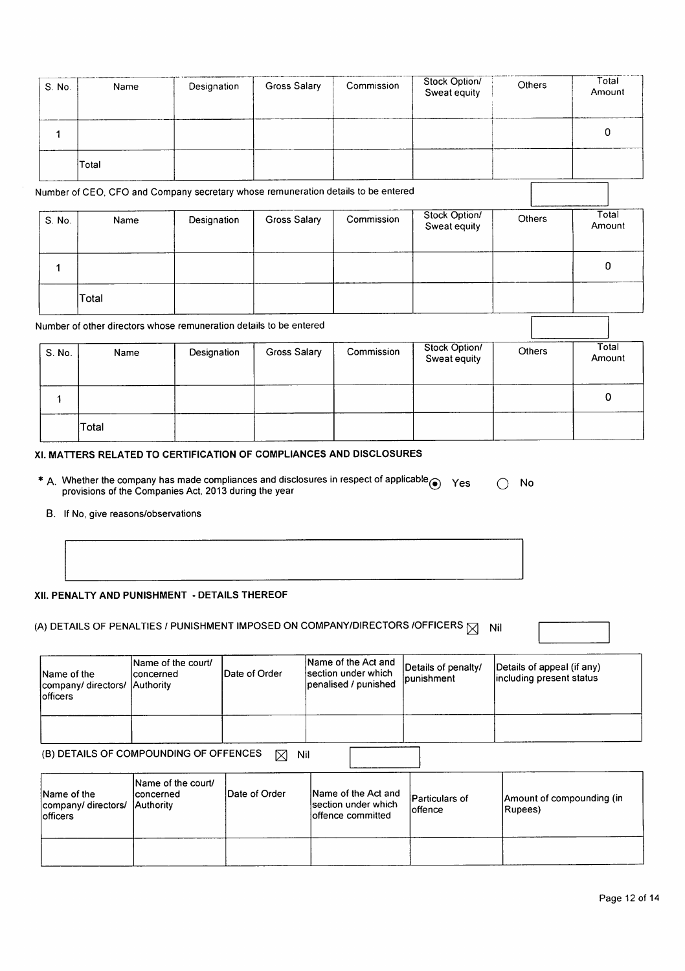| S. No. | Name  | Designation | Gross Salary | Commission | Stock Option/<br>Sweat equity | <b>Others</b> | Total<br>Amount |
|--------|-------|-------------|--------------|------------|-------------------------------|---------------|-----------------|
|        |       |             |              |            |                               |               |                 |
|        | Total |             |              |            |                               |               |                 |

Number of CEO, CFO and Company secretary whose remuneration details to be entered

| S. No. | Name  | Designation | Gross Salary | Commission | Stock Option/<br>Sweat equity | Others | Total<br>Amount |
|--------|-------|-------------|--------------|------------|-------------------------------|--------|-----------------|
|        |       |             |              |            |                               |        |                 |
|        | Total |             |              |            |                               |        |                 |

Number of other directors whose remuneration details to be entered

| S. No. | Name  | Designation | Gross Salary | Commission | Stock Option/<br>Sweat equity | Others | Total<br>Amount |
|--------|-------|-------------|--------------|------------|-------------------------------|--------|-----------------|
|        |       |             |              |            |                               |        | 0               |
|        | Total |             |              |            |                               |        |                 |

#### XI. MATTERS RELATED TO CERTIFICATION OF COMPLIANCES AND DISCLOSURES

| * A. Whether the company has made compliances and disclosures in respect of applicable $\odot$ Yes | $\bigcirc$ No |  |
|----------------------------------------------------------------------------------------------------|---------------|--|
| provisions of the Companies Act, 2013 during the year                                              |               |  |

B. If No, give reasons/observations

|  | XII. PENALTY AND PUNISHMENT  - DETAILS THEREOF |  |
|--|------------------------------------------------|--|
|  |                                                |  |

| <b>Name of the</b><br>company/ directors/<br>lofficers | Name of the court/<br>Iconcerned<br>Authority | <b>IDate of Order</b> | Name of the Act and<br>lsection under which<br>penalised / punished | Details of penalty/<br>punishment | Details of appeal (if any)<br>including present status |
|--------------------------------------------------------|-----------------------------------------------|-----------------------|---------------------------------------------------------------------|-----------------------------------|--------------------------------------------------------|
|                                                        |                                               |                       |                                                                     |                                   |                                                        |

| Name of the<br> company/directors/<br>lofficers | Name of the court/<br>Iconcerned<br>lAuthority | Date of Order | Name of the Act and<br>section under which<br>offence committed | Particulars of<br>loffence | Amount of compounding (in<br>(Rupees |
|-------------------------------------------------|------------------------------------------------|---------------|-----------------------------------------------------------------|----------------------------|--------------------------------------|
|                                                 |                                                |               |                                                                 |                            |                                      |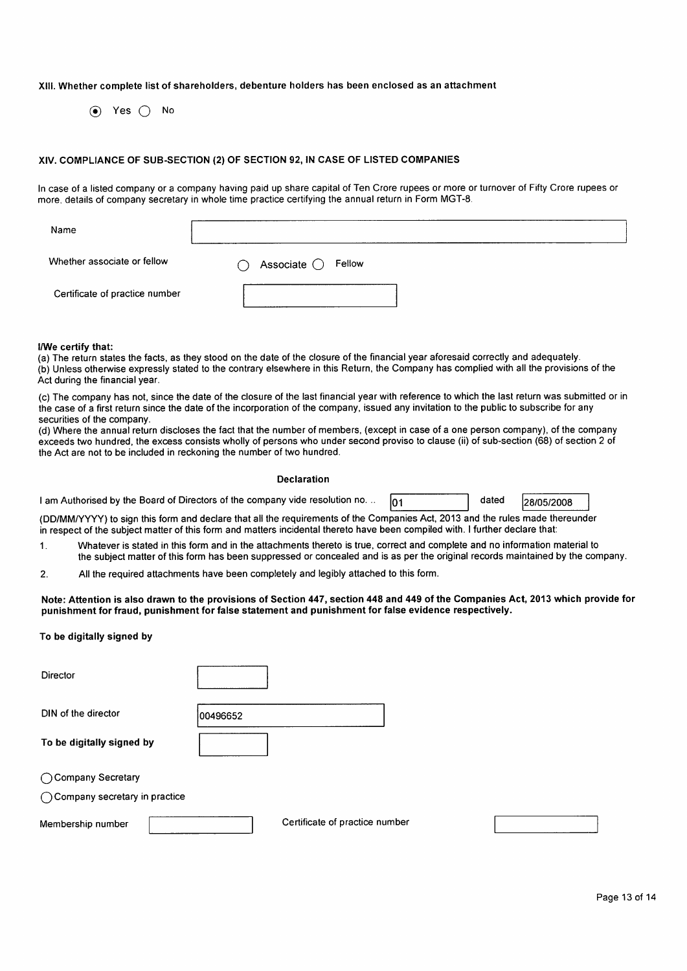#### XIII. Whether complete list of shareholders, debenture holders has been enclosed as an attachment

 $\odot$  Yes  $\bigcap$  No

#### XIV. COMPLIANCE OF SUB-SECTION (2) OF SECTION 92, IN CASE OF LISTED COMPANIES

In case of a listed company or a company having paid up share capital of Ten Crore rupees or more or turnover of Fifty Crore rupees or more, details of company secretary in whole time practice certifying the annual return in Form MGT-8.

| Name                           |                                                       |
|--------------------------------|-------------------------------------------------------|
| Whether associate or fellow    | Associate $\bigcirc$ Fellow<br>$\left( \quad \right)$ |
| Certificate of practice number |                                                       |

#### I/We certify that:

(a) The return states the facts, as they stood on the date of the closure of the financial year aforesaid correctly and adequately. (b) Unless otherwise expressly stated to the contrary elsewhere in this Return, the Company has complied with all the provisions of the Act during the financial year.

(c) The company has not, since the date of the closure of the last financial year with reference to which the last return was submitted or in the case of a first return since the date of the incorporation of the company, issued any invitation to the public to subscribe for any securities of the company.

(d) Where the annual return discloses the fact that the number of members, (except in case of a one person company), of the company exceeds two hundred, the excess consists wholly of persons who under second proviso to clause (ii) of sub-section (68) of section 2 of the Act are not to be included in reckoning the number of two hundred.

#### Declaration

| I am Authorised by the Board of Directors of the company vide resolution no. |  |  |
|------------------------------------------------------------------------------|--|--|
|------------------------------------------------------------------------------|--|--|

28/05/2008

dated

(DD/MM/YYYY) to sign this form and declare that all the requirements of the Companies Act, 2013 and the rules made thereunder in respect of the subject matter of this form and matters incidental thereto have been compiled with. I further declare that:

Whatever is stated in this form and in the attachments thereto is true, correct and complete and no information material to  $\mathbf 1$ the subject matter of this form has been suppressed or concealed and is as per the original records maintained by the company.

01

All the required attachments have been completely and legibly attached to this form. 2.

Note: Attention is also drawn to the provisions of Section 447, section 448 and 449 of the Companies Act, 2013 which provide for punishment for fraud, punishment for false statement and punishment for false evidence respectively.

#### To be digitally signed by

| Director                        |                                |
|---------------------------------|--------------------------------|
| DIN of the director             | 00496652                       |
| To be digitally signed by       |                                |
| ◯ Company Secretary             |                                |
| ◯ Company secretary in practice |                                |
| Membership number               | Certificate of practice number |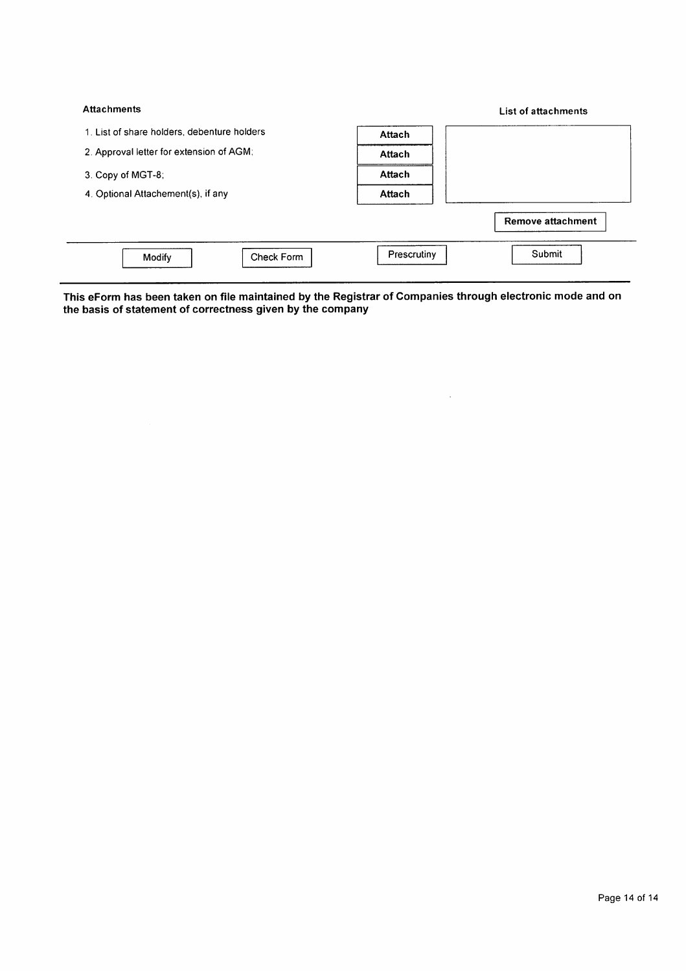| <b>Attachments</b>                          |             | List of attachments      |
|---------------------------------------------|-------------|--------------------------|
| 1. List of share holders, debenture holders | Attach      |                          |
| 2. Approval letter for extension of AGM;    | Attach      |                          |
| 3. Copy of MGT-8;                           | Attach      |                          |
| 4. Optional Attachement(s), if any          | Attach      |                          |
|                                             |             | <b>Remove attachment</b> |
| Check Form<br>Modify                        | Prescrutiny | Submit                   |

This eForm has been taken on file maintained by the Registrar of Companies through electronic mode and on<br>the basis of statement of correctness given by the company

 $\Delta \sim 1$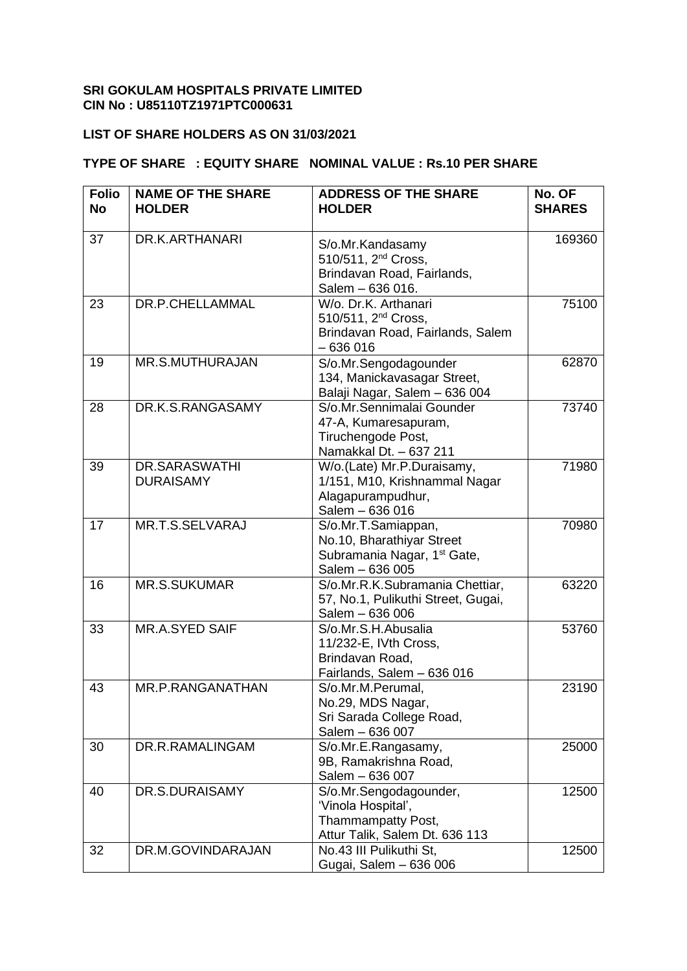#### **SRI GOKULAM HOSPITALS PRIVATE LIMITED CIN No : U85110TZ1971PTC000631**

#### **LIST OF SHARE HOLDERS AS ON 31/03/2021**

#### **TYPE OF SHARE : EQUITY SHARE NOMINAL VALUE : Rs.10 PER SHARE**

| <b>Folio</b><br><b>No</b> | <b>NAME OF THE SHARE</b><br><b>HOLDER</b> | <b>ADDRESS OF THE SHARE</b><br><b>HOLDER</b>                                                                   | No. OF<br><b>SHARES</b> |
|---------------------------|-------------------------------------------|----------------------------------------------------------------------------------------------------------------|-------------------------|
|                           |                                           |                                                                                                                |                         |
| 37                        | DR.K.ARTHANARI                            | S/o.Mr.Kandasamy<br>510/511, 2 <sup>nd</sup> Cross,<br>Brindavan Road, Fairlands,<br>Salem - 636 016.          | 169360                  |
| 23                        | DR.P.CHELLAMMAL                           | W/o. Dr.K. Arthanari<br>510/511, 2 <sup>nd</sup> Cross,<br>Brindavan Road, Fairlands, Salem<br>$-636016$       | 75100                   |
| 19                        | <b>MR.S.MUTHURAJAN</b>                    | S/o.Mr.Sengodagounder<br>134, Manickavasagar Street,<br>Balaji Nagar, Salem - 636 004                          | 62870                   |
| 28                        | DR.K.S.RANGASAMY                          | S/o.Mr.Sennimalai Gounder<br>47-A, Kumaresapuram,<br>Tiruchengode Post,<br>Namakkal Dt. - 637 211              | 73740                   |
| 39                        | <b>DR.SARASWATHI</b><br><b>DURAISAMY</b>  | W/o.(Late) Mr.P.Duraisamy,<br>1/151, M10, Krishnammal Nagar<br>Alagapurampudhur,<br>Salem - 636 016            | 71980                   |
| 17                        | MR.T.S.SELVARAJ                           | S/o.Mr.T.Samiappan,<br>No.10, Bharathiyar Street<br>Subramania Nagar, 1 <sup>st</sup> Gate,<br>Salem - 636 005 | 70980                   |
| 16                        | <b>MR.S.SUKUMAR</b>                       | S/o.Mr.R.K.Subramania Chettiar,<br>57, No.1, Pulikuthi Street, Gugai,<br>Salem - 636 006                       | 63220                   |
| 33                        | MR.A.SYED SAIF                            | S/o.Mr.S.H.Abusalia<br>11/232-E, IVth Cross,<br>Brindavan Road,<br>Fairlands, Salem - 636 016                  | 53760                   |
| 43                        | MR.P.RANGANATHAN                          | S/o.Mr.M.Perumal,<br>No.29, MDS Nagar,<br>Sri Sarada College Road,<br>Salem - 636 007                          | 23190                   |
| 30                        | DR.R.RAMALINGAM                           | S/o.Mr.E.Rangasamy,<br>9B, Ramakrishna Road,<br>Salem - 636 007                                                | 25000                   |
| 40                        | DR.S.DURAISAMY                            | S/o.Mr.Sengodagounder,<br>'Vinola Hospital',<br>Thammampatty Post,<br>Attur Talik, Salem Dt. 636 113           | 12500                   |
| 32                        | DR.M.GOVINDARAJAN                         | No.43 III Pulikuthi St.<br>Gugai, Salem - 636 006                                                              | 12500                   |